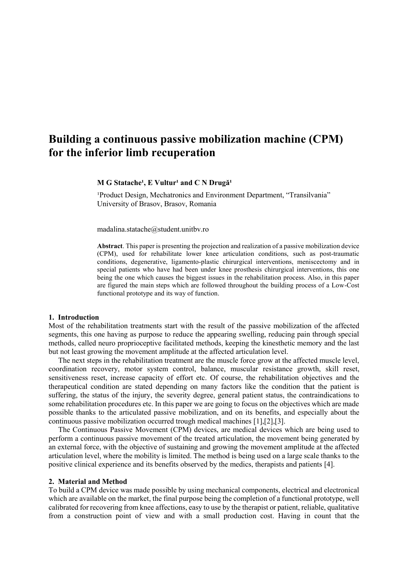# **Building a continuous passive mobilization machine (CPM) for the inferior limb recuperation**

#### $M$  **G** Statache<sup>1</sup>, **E** Vultur<sup>1</sup> and C N Drugă<sup>1</sup>

<sup>1</sup>Product Design, Mechatronics and Environment Department, "Transilvania" University of Brasov, Brasov, Romania

[madalina.statache@student.unitbv.ro](mailto:madalina.statache@student.unitbv.ro)

**Abstract**. This paper is presenting the projection and realization of a passive mobilization device (CPM), used for rehabilitate lower knee articulation conditions, such as post-traumatic conditions, degenerative, ligamento-plastic chirurgical interventions, meniscectomy and in special patients who have had been under knee prosthesis chirurgical interventions, this one being the one which causes the biggest issues in the rehabilitation process. Also, in this paper are figured the main steps which are followed throughout the building process of a Low-Cost functional prototype and its way of function.

#### **1. Introduction**

Most of the rehabilitation treatments start with the result of the passive mobilization of the affected segments, this one having as purpose to reduce the appearing swelling, reducing pain through special methods, called neuro proprioceptive facilitated methods, keeping the kinesthetic memory and the last but not least growing the movement amplitude at the affected articulation level.

The next steps in the rehabilitation treatment are the muscle force grow at the affected muscle level, coordination recovery, motor system control, balance, muscular resistance growth, skill reset, sensitiveness reset, increase capacity of effort etc. Of course, the rehabilitation objectives and the therapeutical condition are stated depending on many factors like the condition that the patient is suffering, the status of the injury, the severity degree, general patient status, the contraindications to some rehabilitation procedures etc. In this paper we are going to focus on the objectives which are made possible thanks to the articulated passive mobilization, and on its benefits, and especially about the continuous passive mobilization occurred trough medical machines [1],[2],[3].

The Continuous Passive Movement (CPM) devices, are medical devices which are being used to perform a continuous passive movement of the treated articulation, the movement being generated by an external force, with the objective of sustaining and growing the movement amplitude at the affected articulation level, where the mobility is limited. The method is being used on a large scale thanks to the positive clinical experience and its benefits observed by the medics, therapists and patients [4].

#### **2. Material and Method**

To build a CPM device was made possible by using mechanical components, electrical and electronical which are available on the market, the final purpose being the completion of a functional prototype, well calibrated for recovering from knee affections, easy to use by the therapist or patient, reliable, qualitative from a construction point of view and with a small production cost. Having in count that the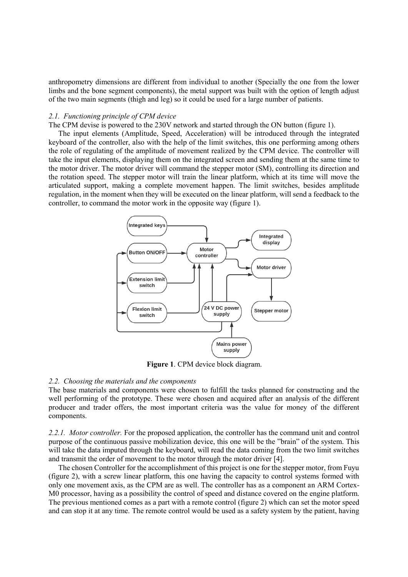anthropometry dimensions are different from individual to another (Specially the one from the lower limbs and the bone segment components), the metal support was built with the option of length adjust of the two main segments (thigh and leg) so it could be used for a large number of patients.

## *2.1. Functioning principle of CPM device*

The CPM devise is powered to the 230V network and started through the ON button (figure 1).

The input elements (Amplitude, Speed, Acceleration) will be introduced through the integrated keyboard of the controller, also with the help of the limit switches, this one performing among others the role of regulating of the amplitude of movement realized by the CPM device. The controller will take the input elements, displaying them on the integrated screen and sending them at the same time to the motor driver. The motor driver will command the stepper motor (SM), controlling its direction and the rotation speed. The stepper motor will train the linear platform, which at its time will move the articulated support, making a complete movement happen. The limit switches, besides amplitude regulation, in the moment when they will be executed on the linear platform, will send a feedback to the controller, to command the motor work in the opposite way (figure 1).



**Figure 1**. CPM device block diagram.

#### *2.2. Choosing the materials and the components*

The base materials and components were chosen to fulfill the tasks planned for constructing and the well performing of the prototype. These were chosen and acquired after an analysis of the different producer and trader offers, the most important criteria was the value for money of the different components.

*2.2.1. Motor controller.* For the proposed application, the controller has the command unit and control purpose of the continuous passive mobilization device, this one will be the "brain" of the system. This will take the data imputed through the keyboard, will read the data coming from the two limit switches and transmit the order of movement to the motor through the motor driver [4].

The chosen Controller for the accomplishment of this project is one for the stepper motor, from Fuyu (figure 2), with a screw linear platform, this one having the capacity to control systems formed with only one movement axis, as the CPM are as well. The controller has as a component an ARM Cortex-M0 processor, having as a possibility the control of speed and distance covered on the engine platform. The previous mentioned comes as a part with a remote control (figure 2) which can set the motor speed and can stop it at any time. The remote control would be used as a safety system by the patient, having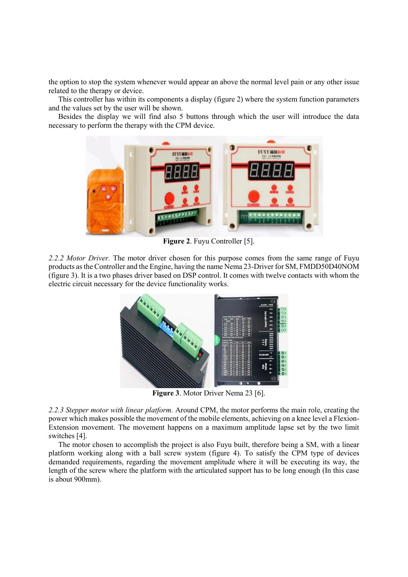the option to stop the system whenever would appear an above the normal level pain or any other issue related to the therapy or device.

This controller has within its components a display (figure 2) where the system function parameters and the values set by the user will be shown.

Besides the display we will find also 5 buttons through which the user will introduce the data necessary to perform the therapy with the CPM device.



**Figure 2**. Fuyu Controller [5].

*2.2.2 Motor Driver.* The motor driver chosen for this purpose comes from the same range of Fuyu products as the Controller and the Engine, having the name Nema 23-Driver for SM, FMDD50D40NOM (figure 3). It is a two phases driver based on DSP control. It comes with twelve contacts with whom the electric circuit necessary for the device functionality works.



**Figure 3**. Motor Driver Nema 23 [6].

*2.2.3 Stepper motor with linear platform.* Around CPM, the motor performs the main role, creating the power which makes possible the movement of the mobile elements, achieving on a knee level a Flexion-Extension movement. The movement happens on a maximum amplitude lapse set by the two limit switches [4].

The motor chosen to accomplish the project is also Fuyu built, therefore being a SM, with a linear platform working along with a ball screw system (figure 4). To satisfy the CPM type of devices demanded requirements, regarding the movement amplitude where it will be executing its way, the length of the screw where the platform with the articulated support has to be long enough (In this case is about 900mm).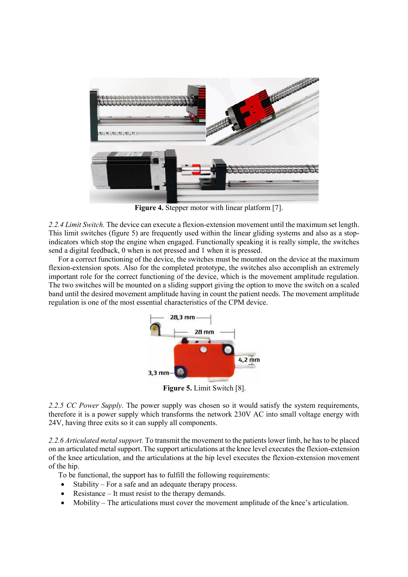

**Figure 4.** Stepper motor with linear platform [7].

*2.2.4 Limit Switch.* The device can execute a flexion-extension movement until the maximum set length. This limit switches (figure 5) are frequently used within the linear gliding systems and also as a stopindicators which stop the engine when engaged. Functionally speaking it is really simple, the switches send a digital feedback, 0 when is not pressed and 1 when it is pressed.

For a correct functioning of the device, the switches must be mounted on the device at the maximum flexion-extension spots. Also for the completed prototype, the switches also accomplish an extremely important role for the correct functioning of the device, which is the movement amplitude regulation. The two switches will be mounted on a sliding support giving the option to move the switch on a scaled band until the desired movement amplitude having in count the patient needs. The movement amplitude regulation is one of the most essential characteristics of the CPM device.



**Figure 5.** Limit Switch [8].

*2.2.5 CC Power Supply.* The power supply was chosen so it would satisfy the system requirements, therefore it is a power supply which transforms the network 230V AC into small voltage energy with 24V, having three exits so it can supply all components.

*2.2.6 Articulated metal support.* To transmit the movement to the patients lower limb, he has to be placed on an articulated metal support. The support articulations at the knee level executes the flexion-extension of the knee articulation, and the articulations at the hip level executes the flexion-extension movement of the hip.

To be functional, the support has to fulfill the following requirements:

- Stability For a safe and an adequate therapy process.
- Resistance It must resist to the therapy demands.
- Mobility The articulations must cover the movement amplitude of the knee's articulation.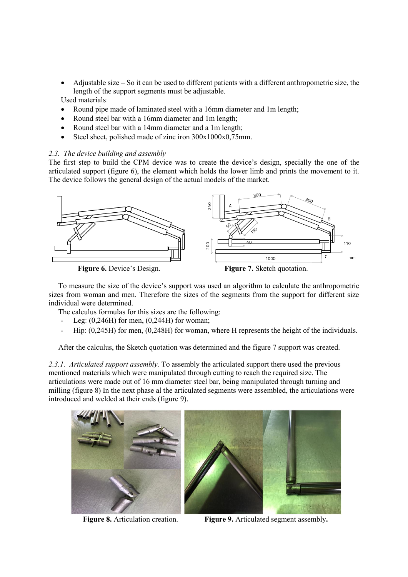- Adjustable size So it can be used to different patients with a different anthropometric size, the length of the support segments must be adjustable. Used materialsː
- Round pipe made of laminated steel with a 16mm diameter and 1m length;
- Round steel bar with a 16mm diameter and 1m length;
- Round steel bar with a 14mm diameter and a 1m length;
- Steel sheet, polished made of zinc iron 300x1000x0,75mm.

## *2.3. The device building and assembly*

The first step to build the CPM device was to create the device's design, specially the one of the articulated support (figure 6), the element which holds the lower limb and prints the movement to it. The device follows the general design of the actual models of the market.



To measure the size of the device's support was used an algorithm to calculate the anthropometric sizes from woman and men. Therefore the sizes of the segments from the support for different size individual were determined.

The calculus formulas for this sizes are the following:

- Leg:  $(0,246H)$  for men,  $(0,244H)$  for woman;
- Hip:  $(0.245H)$  for men,  $(0.248H)$  for woman, where H represents the height of the individuals.

After the calculus, the Sketch quotation was determined and the figure 7 support was created.

*2.3.1. Articulated support assembly.* To assembly the articulated support there used the previous mentioned materials which were manipulated through cutting to reach the required size. The articulations were made out of 16 mm diameter steel bar, being manipulated through turning and milling (figure 8) In the next phase al the articulated segments were assembled, the articulations were introduced and welded at their ends (figure 9).



**Figure 8.** Articulation creation. **Figure 9.** Articulated segment assembly**.**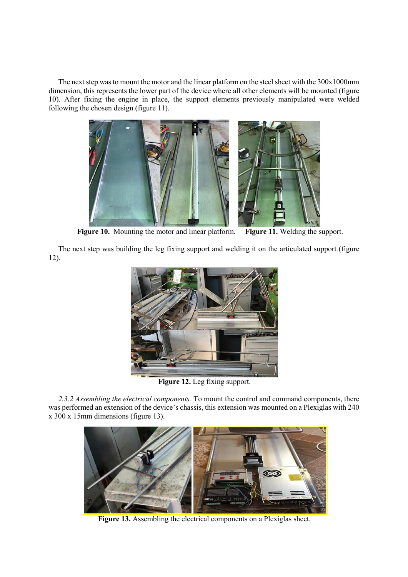The next step was to mount the motor and the linear platform on the steel sheet with the 300x1000mm dimension, this represents the lower part of the device where all other elements will be mounted (figure 10). After fixing the engine in place, the support elements previously manipulated were welded following the chosen design (figure 11).



Figure 11. Welding the support. **Figure 10.** Mounting the motor and linear platform.

The next step was building the leg fixing support and welding it on the articulated support (figure 12).



**Figure 12.** Leg fixing support.

*2.3.2 Assembling the electrical components.* To mount the control and command components, there was performed an extension of the device's chassis, this extension was mounted on a Plexiglas with 240 x 300 x 15mm dimensions (figure 13).



**Figure 13.** Assembling the electrical components on a Plexiglas sheet.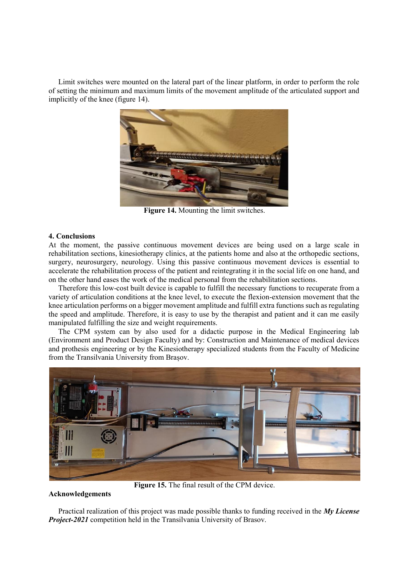Limit switches were mounted on the lateral part of the linear platform, in order to perform the role of setting the minimum and maximum limits of the movement amplitude of the articulated support and implicitly of the knee (figure 14).



**Figure 14.** Mounting the limit switches.

#### **4. Conclusions**

At the moment, the passive continuous movement devices are being used on a large scale in rehabilitation sections, kinesiotherapy clinics, at the patients home and also at the orthopedic sections, surgery, neurosurgery, neurology. Using this passive continuous movement devices is essential to accelerate the rehabilitation process of the patient and reintegrating it in the social life on one hand, and on the other hand eases the work of the medical personal from the rehabilitation sections.

Therefore this low-cost built device is capable to fulfill the necessary functions to recuperate from a variety of articulation conditions at the knee level, to execute the flexion-extension movement that the knee articulation performs on a bigger movement amplitude and fulfill extra functions such as regulating the speed and amplitude. Therefore, it is easy to use by the therapist and patient and it can me easily manipulated fulfilling the size and weight requirements.

The CPM system can by also used for a didactic purpose in the Medical Engineering lab (Environment and Product Design Faculty) and by: Construction and Maintenance of medical devices and prothesis engineering or by the Kinesiotherapy specialized students from the Faculty of Medicine from the Transilvania University from Brașov.



**Figure 15.** The final result of the CPM device.

# **Acknowledgements**

Practical realization of this project was made possible thanks to funding received in the *My License Project-2021* competition held in the Transilvania University of Brasov.